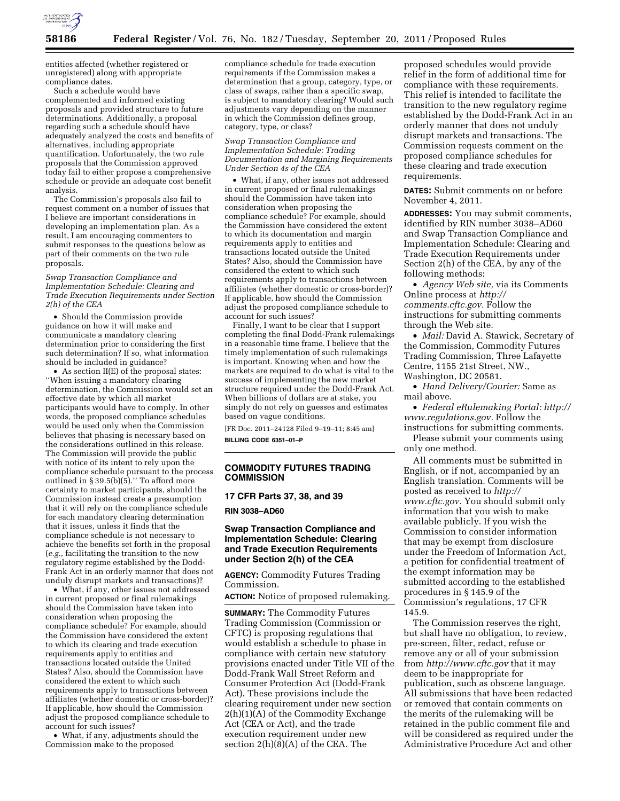

entities affected (whether registered or unregistered) along with appropriate compliance dates.

Such a schedule would have complemented and informed existing proposals and provided structure to future determinations. Additionally, a proposal regarding such a schedule should have adequately analyzed the costs and benefits of alternatives, including appropriate quantification. Unfortunately, the two rule proposals that the Commission approved today fail to either propose a comprehensive schedule or provide an adequate cost benefit analysis.

The Commission's proposals also fail to request comment on a number of issues that I believe are important considerations in developing an implementation plan. As a result, I am encouraging commenters to submit responses to the questions below as part of their comments on the two rule proposals.

### *Swap Transaction Compliance and Implementation Schedule: Clearing and Trade Execution Requirements under Section 2(h) of the CEA*

• Should the Commission provide guidance on how it will make and communicate a mandatory clearing determination prior to considering the first such determination? If so, what information should be included in guidance?

• As section II(E) of the proposal states: ''When issuing a mandatory clearing determination, the Commission would set an effective date by which all market participants would have to comply. In other words, the proposed compliance schedules would be used only when the Commission believes that phasing is necessary based on the considerations outlined in this release. The Commission will provide the public with notice of its intent to rely upon the compliance schedule pursuant to the process outlined in § 39.5(b)(5).'' To afford more certainty to market participants, should the Commission instead create a presumption that it will rely on the compliance schedule for each mandatory clearing determination that it issues, unless it finds that the compliance schedule is not necessary to achieve the benefits set forth in the proposal (*e.g.,* facilitating the transition to the new regulatory regime established by the Dodd-Frank Act in an orderly manner that does not unduly disrupt markets and transactions)?

• What, if any, other issues not addressed in current proposed or final rulemakings should the Commission have taken into consideration when proposing the compliance schedule? For example, should the Commission have considered the extent to which its clearing and trade execution requirements apply to entities and transactions located outside the United States? Also, should the Commission have considered the extent to which such requirements apply to transactions between affiliates (whether domestic or cross-border)? If applicable, how should the Commission adjust the proposed compliance schedule to account for such issues?

• What, if any, adjustments should the Commission make to the proposed

compliance schedule for trade execution requirements if the Commission makes a determination that a group, category, type, or class of swaps, rather than a specific swap, is subject to mandatory clearing? Would such adjustments vary depending on the manner in which the Commission defines group, category, type, or class?

*Swap Transaction Compliance and Implementation Schedule: Trading Documentation and Margining Requirements Under Section 4s of the CEA* 

• What, if any, other issues not addressed in current proposed or final rulemakings should the Commission have taken into consideration when proposing the compliance schedule? For example, should the Commission have considered the extent to which its documentation and margin requirements apply to entities and transactions located outside the United States? Also, should the Commission have considered the extent to which such requirements apply to transactions between affiliates (whether domestic or cross-border)? If applicable, how should the Commission adjust the proposed compliance schedule to account for such issues?

Finally, I want to be clear that I support completing the final Dodd-Frank rulemakings in a reasonable time frame. I believe that the timely implementation of such rulemakings is important. Knowing when and how the markets are required to do what is vital to the success of implementing the new market structure required under the Dodd-Frank Act. When billions of dollars are at stake, you simply do not rely on guesses and estimates based on vague conditions.

[FR Doc. 2011–24128 Filed 9–19–11; 8:45 am] **BILLING CODE 6351–01–P** 

# **COMMODITY FUTURES TRADING COMMISSION**

# **17 CFR Parts 37, 38, and 39**

**RIN 3038–AD60** 

# **Swap Transaction Compliance and Implementation Schedule: Clearing and Trade Execution Requirements under Section 2(h) of the CEA**

**AGENCY:** Commodity Futures Trading Commission.

**ACTION:** Notice of proposed rulemaking.

**SUMMARY:** The Commodity Futures Trading Commission (Commission or CFTC) is proposing regulations that would establish a schedule to phase in compliance with certain new statutory provisions enacted under Title VII of the Dodd-Frank Wall Street Reform and Consumer Protection Act (Dodd-Frank Act). These provisions include the clearing requirement under new section 2(h)(1)(A) of the Commodity Exchange Act (CEA or Act), and the trade execution requirement under new section 2(h)(8)(A) of the CEA. The

proposed schedules would provide relief in the form of additional time for compliance with these requirements. This relief is intended to facilitate the transition to the new regulatory regime established by the Dodd-Frank Act in an orderly manner that does not unduly disrupt markets and transactions. The Commission requests comment on the proposed compliance schedules for these clearing and trade execution requirements.

**DATES:** Submit comments on or before November 4, 2011.

**ADDRESSES:** You may submit comments, identified by RIN number 3038–AD60 and Swap Transaction Compliance and Implementation Schedule: Clearing and Trade Execution Requirements under Section 2(h) of the CEA, by any of the following methods:

• *Agency Web site,* via its Comments Online process at *[http://](http://comments.cftc.gov)  [comments.cftc.gov.](http://comments.cftc.gov)* Follow the instructions for submitting comments through the Web site.

• *Mail:* David A. Stawick, Secretary of the Commission, Commodity Futures Trading Commission, Three Lafayette Centre, 1155 21st Street, NW., Washington, DC 20581.

• *Hand Delivery/Courier:* Same as mail above.

• *Federal eRulemaking Portal: [http://](http://www.regulations.gov)  [www.regulations.gov.](http://www.regulations.gov)* Follow the instructions for submitting comments.

Please submit your comments using only one method.

All comments must be submitted in English, or if not, accompanied by an English translation. Comments will be posted as received to *[http://](http://www.cftc.gov) [www.cftc.gov.](http://www.cftc.gov)* You should submit only information that you wish to make available publicly. If you wish the Commission to consider information that may be exempt from disclosure under the Freedom of Information Act, a petition for confidential treatment of the exempt information may be submitted according to the established procedures in § 145.9 of the Commission's regulations, 17 CFR 145.9.

The Commission reserves the right, but shall have no obligation, to review, pre-screen, filter, redact, refuse or remove any or all of your submission from *<http://www.cftc.gov>* that it may deem to be inappropriate for publication, such as obscene language. All submissions that have been redacted or removed that contain comments on the merits of the rulemaking will be retained in the public comment file and will be considered as required under the Administrative Procedure Act and other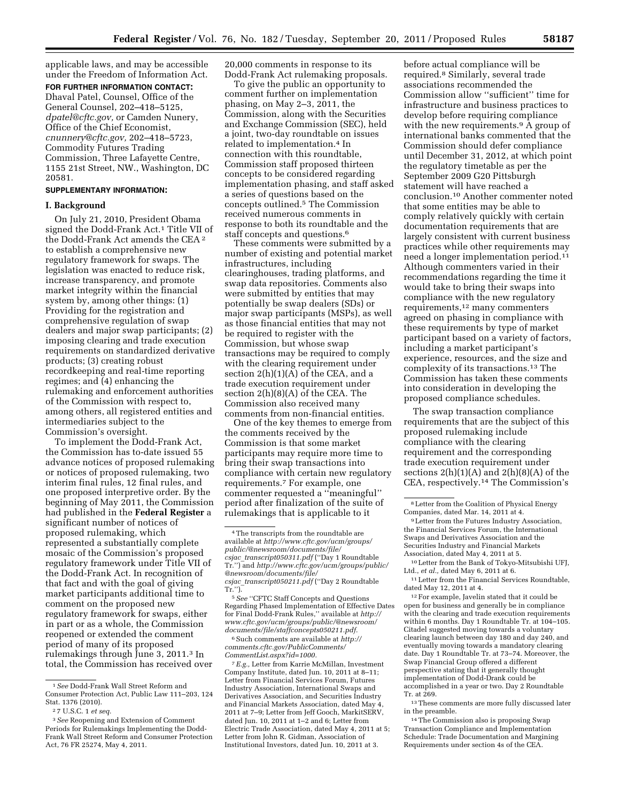applicable laws, and may be accessible under the Freedom of Information Act.

**FOR FURTHER INFORMATION CONTACT:**  Dhaval Patel, Counsel, Office of the General Counsel, 202–418–5125, *[dpatel@cftc.gov,](mailto:dpatel@cftc.gov)* or Camden Nunery, Office of the Chief Economist, *[cnunnery@cftc.gov,](mailto:cnunnery@cftc.gov)* 202–418–5723, Commodity Futures Trading Commission, Three Lafayette Centre, 1155 21st Street, NW., Washington, DC 20581.

# **SUPPLEMENTARY INFORMATION:**

## **I. Background**

On July 21, 2010, President Obama signed the Dodd-Frank Act.1 Title VII of the Dodd-Frank Act amends the CEA 2 to establish a comprehensive new regulatory framework for swaps. The legislation was enacted to reduce risk, increase transparency, and promote market integrity within the financial system by, among other things: (1) Providing for the registration and comprehensive regulation of swap dealers and major swap participants; (2) imposing clearing and trade execution requirements on standardized derivative products; (3) creating robust recordkeeping and real-time reporting regimes; and (4) enhancing the rulemaking and enforcement authorities of the Commission with respect to, among others, all registered entities and intermediaries subject to the Commission's oversight.

To implement the Dodd-Frank Act, the Commission has to-date issued 55 advance notices of proposed rulemaking or notices of proposed rulemaking, two interim final rules, 12 final rules, and one proposed interpretive order. By the beginning of May 2011, the Commission had published in the **Federal Register** a significant number of notices of proposed rulemaking, which represented a substantially complete mosaic of the Commission's proposed regulatory framework under Title VII of the Dodd-Frank Act. In recognition of that fact and with the goal of giving market participants additional time to comment on the proposed new regulatory framework for swaps, either in part or as a whole, the Commission reopened or extended the comment period of many of its proposed rulemakings through June 3, 2011.3 In total, the Commission has received over

20,000 comments in response to its Dodd-Frank Act rulemaking proposals.

To give the public an opportunity to comment further on implementation phasing, on May 2–3, 2011, the Commission, along with the Securities and Exchange Commission (SEC), held a joint, two-day roundtable on issues related to implementation.4 In connection with this roundtable, Commission staff proposed thirteen concepts to be considered regarding implementation phasing, and staff asked a series of questions based on the concepts outlined.5 The Commission received numerous comments in response to both its roundtable and the staff concepts and questions.<sup>6</sup>

These comments were submitted by a number of existing and potential market infrastructures, including clearinghouses, trading platforms, and swap data repositories. Comments also were submitted by entities that may potentially be swap dealers (SDs) or major swap participants (MSPs), as well as those financial entities that may not be required to register with the Commission, but whose swap transactions may be required to comply with the clearing requirement under section 2(h)(1)(A) of the CEA, and a trade execution requirement under section 2(h)(8)(A) of the CEA. The Commission also received many comments from non-financial entities.

One of the key themes to emerge from the comments received by the Commission is that some market participants may require more time to bring their swap transactions into compliance with certain new regulatory requirements.7 For example, one commenter requested a ''meaningful'' period after finalization of the suite of rulemakings that is applicable to it

6Such comments are available at *[http://](http://comments.cftc.gov/PublicComments/CommentList.aspx?id=1000) [comments.cftc.gov/PublicComments/](http://comments.cftc.gov/PublicComments/CommentList.aspx?id=1000)  [CommentList.aspx?id=1000.](http://comments.cftc.gov/PublicComments/CommentList.aspx?id=1000)* 

7*E.g.,* Letter from Karrie McMillan, Investment Company Institute, dated Jun. 10, 2011 at 8–11; Letter from Financial Services Forum, Futures Industry Association, International Swaps and Derivatives Association, and Securities Industry and Financial Markets Association, dated May 4, 2011 at 7–9; Letter from Jeff Gooch, MarkitSERV, dated Jun. 10, 2011 at 1–2 and 6; Letter from Electric Trade Association, dated May 4, 2011 at 5; Letter from John R. Gidman, Association of Institutional Investors, dated Jun. 10, 2011 at 3.

before actual compliance will be required.8 Similarly, several trade associations recommended the Commission allow ''sufficient'' time for infrastructure and business practices to develop before requiring compliance with the new requirements.<sup>9</sup> A group of international banks commented that the Commission should defer compliance until December 31, 2012, at which point the regulatory timetable as per the September 2009 G20 Pittsburgh statement will have reached a conclusion.10 Another commenter noted that some entities may be able to comply relatively quickly with certain documentation requirements that are largely consistent with current business practices while other requirements may need a longer implementation period.11 Although commenters varied in their recommendations regarding the time it would take to bring their swaps into compliance with the new regulatory requirements,12 many commenters agreed on phasing in compliance with these requirements by type of market participant based on a variety of factors, including a market participant's experience, resources, and the size and complexity of its transactions.13 The Commission has taken these comments into consideration in developing the proposed compliance schedules.

The swap transaction compliance requirements that are the subject of this proposed rulemaking include compliance with the clearing requirement and the corresponding trade execution requirement under sections  $2(h)(1)(A)$  and  $2(h)(8)(A)$  of the CEA, respectively.14 The Commission's

9Letter from the Futures Industry Association, the Financial Services Forum, the International Swaps and Derivatives Association and the Securities Industry and Financial Markets Association, dated May 4, 2011 at 5.

10Letter from the Bank of Tokyo-Mitsubishi UFJ, Ltd., *et al.,* dated May 6, 2011 at 6.

 $^{\rm 12}\rm{For}$  example, Javelin stated that it could be open for business and generally be in compliance with the clearing and trade execution requirements within 6 months. Day 1 Roundtable Tr. at 104–105. Citadel suggested moving towards a voluntary clearing launch between day 180 and day 240, and eventually moving towards a mandatory clearing date. Day 1 Roundtable Tr. at 73–74. Moreover, the Swap Financial Group offered a different perspective stating that it generally thought implementation of Dodd-Drank could be accomplished in a year or two. Day 2 Roundtable Tr. at 269.

 $^{\rm 13}\,$  These comments are more fully discussed later in the preamble.

14The Commission also is proposing Swap Transaction Compliance and Implementation Schedule: Trade Documentation and Margining Requirements under section 4s of the CEA.

<sup>1</sup>*See* Dodd-Frank Wall Street Reform and Consumer Protection Act, Public Law 111–203, 124 Stat. 1376 (2010).

<sup>2</sup> 7 U.S.C. 1 *et seq.* 

<sup>3</sup>*See* Reopening and Extension of Comment Periods for Rulemakings Implementing the Dodd-Frank Wall Street Reform and Consumer Protection Act, 76 FR 25274, May 4, 2011.

<sup>4</sup>The transcripts from the roundtable are available at *[http://www.cftc.gov/ucm/groups/](http://www.cftc.gov/ucm/groups/public/@newsroom/documents/file/csjac_transcript050311.pcf)  [public/@newsroom/documents/file/](http://www.cftc.gov/ucm/groups/public/@newsroom/documents/file/csjac_transcript050311.pcf)  csjac*\_*transcript050311.pdf* (''Day 1 Roundtable Tr.'') and *[http://www.cftc.gov/ucm/groups/public/](http://www.cftc.gov/ucm/groups/public/@newsroom/documents/file/csjac_transcript050211.pcf)  [@newsroom/documents/file/](http://www.cftc.gov/ucm/groups/public/@newsroom/documents/file/csjac_transcript050211.pcf)  csjac*\_*transcript050211.pdf* (''Day 2 Roundtable Tr.'').

<sup>5</sup>*See* ''CFTC Staff Concepts and Questions Regarding Phased Implementation of Effective Dates for Final Dodd-Frank Rules,'' available at *http:// [www.cftc.gov/ucm/groups/public/@newsroom/](http://www.cftc.gov/ucm/groups/public/@newsroom/documents/file/csjac_transcript050211.pcf)  documents/file/staffconcepts050211.pdf.* 

<sup>8</sup>Letter from the Coalition of Physical Energy Companies, dated Mar. 14, 2011 at 4.

<sup>11</sup>Letter from the Financial Services Roundtable, dated May 12, 2011 at 4.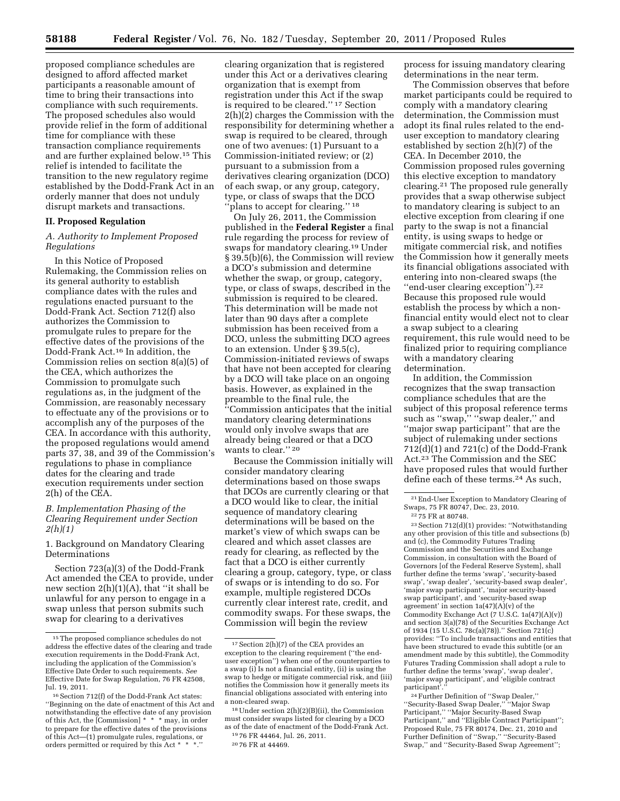proposed compliance schedules are designed to afford affected market participants a reasonable amount of time to bring their transactions into compliance with such requirements. The proposed schedules also would provide relief in the form of additional time for compliance with these transaction compliance requirements and are further explained below.15 This relief is intended to facilitate the transition to the new regulatory regime established by the Dodd-Frank Act in an orderly manner that does not unduly disrupt markets and transactions.

## **II. Proposed Regulation**

# *A. Authority to Implement Proposed Regulations*

In this Notice of Proposed Rulemaking, the Commission relies on its general authority to establish compliance dates with the rules and regulations enacted pursuant to the Dodd-Frank Act. Section 712(f) also authorizes the Commission to promulgate rules to prepare for the effective dates of the provisions of the Dodd-Frank Act.16 In addition, the Commission relies on section 8(a)(5) of the CEA, which authorizes the Commission to promulgate such regulations as, in the judgment of the Commission, are reasonably necessary to effectuate any of the provisions or to accomplish any of the purposes of the CEA. In accordance with this authority, the proposed regulations would amend parts 37, 38, and 39 of the Commission's regulations to phase in compliance dates for the clearing and trade execution requirements under section 2(h) of the CEA.

### *B. Implementation Phasing of the Clearing Requirement under Section 2(h)(1)*

1. Background on Mandatory Clearing Determinations

Section 723(a)(3) of the Dodd-Frank Act amended the CEA to provide, under new section 2(h)(1)(A), that ''it shall be unlawful for any person to engage in a swap unless that person submits such swap for clearing to a derivatives

clearing organization that is registered under this Act or a derivatives clearing organization that is exempt from registration under this Act if the swap is required to be cleared.'' 17 Section 2(h)(2) charges the Commission with the responsibility for determining whether a swap is required to be cleared, through one of two avenues: (1) Pursuant to a Commission-initiated review; or (2) pursuant to a submission from a derivatives clearing organization (DCO) of each swap, or any group, category, type, or class of swaps that the DCO ''plans to accept for clearing.'' 18

On July 26, 2011, the Commission published in the **Federal Register** a final rule regarding the process for review of swaps for mandatory clearing.19 Under § 39.5(b)(6), the Commission will review a DCO's submission and determine whether the swap, or group, category, type, or class of swaps, described in the submission is required to be cleared. This determination will be made not later than 90 days after a complete submission has been received from a DCO, unless the submitting DCO agrees to an extension. Under § 39.5(c), Commission-initiated reviews of swaps that have not been accepted for clearing by a DCO will take place on an ongoing basis. However, as explained in the preamble to the final rule, the ''Commission anticipates that the initial mandatory clearing determinations would only involve swaps that are already being cleared or that a DCO wants to clear.'' 20

Because the Commission initially will consider mandatory clearing determinations based on those swaps that DCOs are currently clearing or that a DCO would like to clear, the initial sequence of mandatory clearing determinations will be based on the market's view of which swaps can be cleared and which asset classes are ready for clearing, as reflected by the fact that a DCO is either currently clearing a group, category, type, or class of swaps or is intending to do so. For example, multiple registered DCOs currently clear interest rate, credit, and commodity swaps. For these swaps, the Commission will begin the review

process for issuing mandatory clearing determinations in the near term.

The Commission observes that before market participants could be required to comply with a mandatory clearing determination, the Commission must adopt its final rules related to the enduser exception to mandatory clearing established by section 2(h)(7) of the CEA. In December 2010, the Commission proposed rules governing this elective exception to mandatory clearing.21 The proposed rule generally provides that a swap otherwise subject to mandatory clearing is subject to an elective exception from clearing if one party to the swap is not a financial entity, is using swaps to hedge or mitigate commercial risk, and notifies the Commission how it generally meets its financial obligations associated with entering into non-cleared swaps (the ''end-user clearing exception'').22 Because this proposed rule would establish the process by which a nonfinancial entity would elect not to clear a swap subject to a clearing requirement, this rule would need to be finalized prior to requiring compliance with a mandatory clearing determination.

In addition, the Commission recognizes that the swap transaction compliance schedules that are the subject of this proposal reference terms such as ''swap,'' ''swap dealer,'' and ''major swap participant'' that are the subject of rulemaking under sections  $712(d)(1)$  and  $721(c)$  of the Dodd-Frank Act.23 The Commission and the SEC have proposed rules that would further define each of these terms.24 As such,

<sup>22</sup> 75 FR at 80748.

23Section 712(d)(1) provides: ''Notwithstanding any other provision of this title and subsections (b) and (c), the Commodity Futures Trading Commission and the Securities and Exchange Commission, in consultation with the Board of Governors [of the Federal Reserve System], shall further define the terms 'swap', 'security-based swap', 'swap dealer', 'security-based swap dealer', 'major swap participant', 'major security-based swap participant', and 'security-based swap agreement' in section  $1a(47)(A)(v)$  of the Commodity Exchange Act (7 U.S.C. 1a(47)(A)(v)) and section 3(a)(78) of the Securities Exchange Act of 1934 (15 U.S.C. 78c(a)(78)).'' Section 721(c) provides: ''To include transactions and entities that have been structured to evade this subtitle (or an amendment made by this subtitle), the Commodity Futures Trading Commission shall adopt a rule to further define the terms 'swap', 'swap dealer', 'major swap participant', and 'eligible contract participant

24Further Definition of ''Swap Dealer,'' ''Security-Based Swap Dealer,'' ''Major Swap Participant,'' ''Major Security-Based Swap Participant,'' and ''Eligible Contract Participant''; Proposed Rule, 75 FR 80174, Dec. 21, 2010 and Further Definition of ''Swap,'' ''Security-Based Swap,'' and ''Security-Based Swap Agreement'';

<sup>15</sup>The proposed compliance schedules do not address the effective dates of the clearing and trade execution requirements in the Dodd-Frank Act, including the application of the Commission's Effective Date Order to such requirements. *See*  Effective Date for Swap Regulation, 76 FR 42508, Jul. 19, 2011.

<sup>16</sup>Section 712(f) of the Dodd-Frank Act states: ''Beginning on the date of enactment of this Act and notwithstanding the effective date of any provision of this Act, the [Commission] \* \* \* may, in order to prepare for the effective dates of the provisions of this Act—(1) promulgate rules, regulations, or orders permitted or required by this Act \* \*

<sup>17</sup>Section 2(h)(7) of the CEA provides an exception to the clearing requirement (''the enduser exception'') when one of the counterparties to a swap (i) Is not a financial entity, (ii) is using the swap to hedge or mitigate commercial risk, and (iii) notifies the Commission how it generally meets its financial obligations associated with entering into a non-cleared swap.

<sup>18</sup>Under section 2(h)(2)(B)(ii), the Commission must consider swaps listed for clearing by a DCO as of the date of enactment of the Dodd-Frank Act.

<sup>19</sup> 76 FR 44464, Jul. 26, 2011. 20 76 FR at 44469.

<sup>21</sup>End-User Exception to Mandatory Clearing of Swaps, 75 FR 80747, Dec. 23, 2010.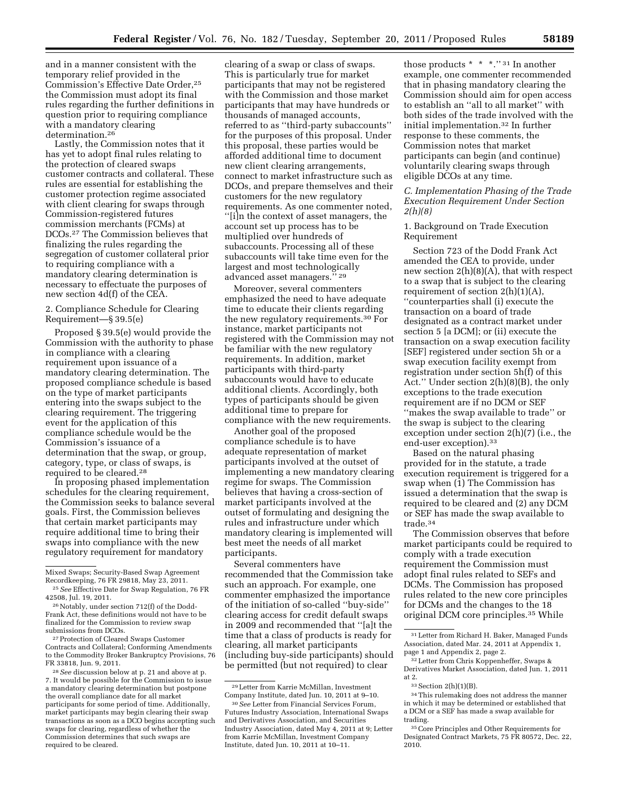and in a manner consistent with the temporary relief provided in the Commission's Effective Date Order,25 the Commission must adopt its final rules regarding the further definitions in question prior to requiring compliance with a mandatory clearing determination.26

Lastly, the Commission notes that it has yet to adopt final rules relating to the protection of cleared swaps customer contracts and collateral. These rules are essential for establishing the customer protection regime associated with client clearing for swaps through Commission-registered futures commission merchants (FCMs) at DCOs.27 The Commission believes that finalizing the rules regarding the segregation of customer collateral prior to requiring compliance with a mandatory clearing determination is necessary to effectuate the purposes of new section 4d(f) of the CEA.

2. Compliance Schedule for Clearing Requirement—§ 39.5(e)

Proposed § 39.5(e) would provide the Commission with the authority to phase in compliance with a clearing requirement upon issuance of a mandatory clearing determination. The proposed compliance schedule is based on the type of market participants entering into the swaps subject to the clearing requirement. The triggering event for the application of this compliance schedule would be the Commission's issuance of a determination that the swap, or group, category, type, or class of swaps, is required to be cleared.28

In proposing phased implementation schedules for the clearing requirement, the Commission seeks to balance several goals. First, the Commission believes that certain market participants may require additional time to bring their swaps into compliance with the new regulatory requirement for mandatory

27Protection of Cleared Swaps Customer Contracts and Collateral; Conforming Amendments to the Commodity Broker Bankruptcy Provisions, 76 FR 33818, Jun. 9, 2011.

28*See* discussion below at p. 21 and above at p. 7. It would be possible for the Commission to issue a mandatory clearing determination but postpone the overall compliance date for all market participants for some period of time. Additionally, market participants may begin clearing their swap transactions as soon as a DCO begins accepting such swaps for clearing, regardless of whether the Commission determines that such swaps are required to be cleared.

clearing of a swap or class of swaps. This is particularly true for market participants that may not be registered with the Commission and those market participants that may have hundreds or thousands of managed accounts, referred to as ''third-party subaccounts'' for the purposes of this proposal. Under this proposal, these parties would be afforded additional time to document new client clearing arrangements, connect to market infrastructure such as DCOs, and prepare themselves and their customers for the new regulatory requirements. As one commenter noted, ''[i]n the context of asset managers, the account set up process has to be multiplied over hundreds of subaccounts. Processing all of these subaccounts will take time even for the largest and most technologically advanced asset managers.'' 29

Moreover, several commenters emphasized the need to have adequate time to educate their clients regarding the new regulatory requirements.30 For instance, market participants not registered with the Commission may not be familiar with the new regulatory requirements. In addition, market participants with third-party subaccounts would have to educate additional clients. Accordingly, both types of participants should be given additional time to prepare for compliance with the new requirements.

Another goal of the proposed compliance schedule is to have adequate representation of market participants involved at the outset of implementing a new mandatory clearing regime for swaps. The Commission believes that having a cross-section of market participants involved at the outset of formulating and designing the rules and infrastructure under which mandatory clearing is implemented will best meet the needs of all market participants.

Several commenters have recommended that the Commission take such an approach. For example, one commenter emphasized the importance of the initiation of so-called ''buy-side'' clearing access for credit default swaps in 2009 and recommended that ''[a]t the time that a class of products is ready for clearing, all market participants (including buy-side participants) should be permitted (but not required) to clear

those products \* \* \*.'' 31 In another example, one commenter recommended that in phasing mandatory clearing the Commission should aim for open access to establish an ''all to all market'' with both sides of the trade involved with the initial implementation.32 In further response to these comments, the Commission notes that market participants can begin (and continue) voluntarily clearing swaps through eligible DCOs at any time.

*C. Implementation Phasing of the Trade Execution Requirement Under Section 2(h)(8)* 

1. Background on Trade Execution Requirement

Section 723 of the Dodd Frank Act amended the CEA to provide, under new section 2(h)(8)(A), that with respect to a swap that is subject to the clearing requirement of section  $2(h)(1)(A)$ , ''counterparties shall (i) execute the transaction on a board of trade designated as a contract market under section 5 [a DCM]; or (ii) execute the transaction on a swap execution facility [SEF] registered under section 5h or a swap execution facility exempt from registration under section 5h(f) of this Act.'' Under section 2(h)(8)(B), the only exceptions to the trade execution requirement are if no DCM or SEF ''makes the swap available to trade'' or the swap is subject to the clearing exception under section 2(h)(7) (i.e., the end-user exception).33

Based on the natural phasing provided for in the statute, a trade execution requirement is triggered for a swap when (1) The Commission has issued a determination that the swap is required to be cleared and (2) any DCM or SEF has made the swap available to trade.34

The Commission observes that before market participants could be required to comply with a trade execution requirement the Commission must adopt final rules related to SEFs and DCMs. The Commission has proposed rules related to the new core principles for DCMs and the changes to the 18 original DCM core principles.35 While

Mixed Swaps; Security-Based Swap Agreement Recordkeeping, 76 FR 29818, May 23, 2011.

<sup>25</sup>*See* Effective Date for Swap Regulation, 76 FR 42508, Jul. 19, 2011.

<sup>26</sup>Notably, under section 712(f) of the Dodd-Frank Act, these definitions would not have to be finalized for the Commission to review swap submissions from DCOs.

<sup>29</sup>Letter from Karrie McMillan, Investment Company Institute, dated Jun. 10, 2011 at 9–10.

<sup>30</sup>*See* Letter from Financial Services Forum, Futures Industry Association, International Swaps and Derivatives Association, and Securities Industry Association, dated May 4, 2011 at 9; Letter from Karrie McMillan, Investment Company Institute, dated Jun. 10, 2011 at 10–11.

<sup>31</sup>Letter from Richard H. Baker, Managed Funds Association, dated Mar. 24, 2011 at Appendix 1, page 1 and Appendix 2, page 2.

<sup>32</sup>Letter from Chris Koppenheffer, Swaps & Derivatives Market Association, dated Jun. 1, 2011 at 2.

<sup>33</sup>Section 2(h)(1)(B).

<sup>34</sup>This rulemaking does not address the manner in which it may be determined or established that a DCM or a SEF has made a swap available for trading.

<sup>35</sup>Core Principles and Other Requirements for Designated Contract Markets, 75 FR 80572, Dec. 22, 2010.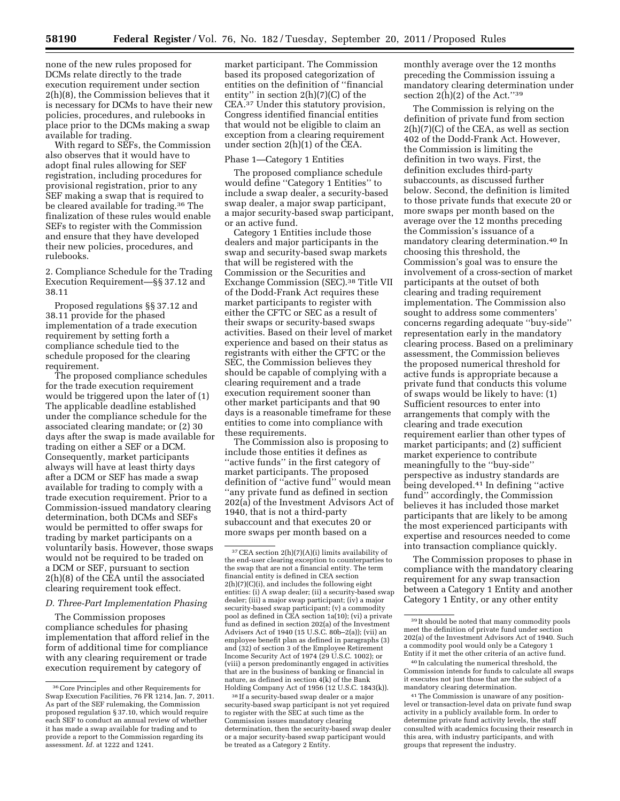none of the new rules proposed for DCMs relate directly to the trade execution requirement under section 2(h)(8), the Commission believes that it is necessary for DCMs to have their new policies, procedures, and rulebooks in place prior to the DCMs making a swap available for trading.

With regard to SEFs, the Commission also observes that it would have to adopt final rules allowing for SEF registration, including procedures for provisional registration, prior to any SEF making a swap that is required to be cleared available for trading.36 The finalization of these rules would enable SEFs to register with the Commission and ensure that they have developed their new policies, procedures, and rulebooks.

2. Compliance Schedule for the Trading Execution Requirement—§§ 37.12 and 38.11

Proposed regulations §§ 37.12 and 38.11 provide for the phased implementation of a trade execution requirement by setting forth a compliance schedule tied to the schedule proposed for the clearing requirement.

The proposed compliance schedules for the trade execution requirement would be triggered upon the later of (1) The applicable deadline established under the compliance schedule for the associated clearing mandate; or (2) 30 days after the swap is made available for trading on either a SEF or a DCM. Consequently, market participants always will have at least thirty days after a DCM or SEF has made a swap available for trading to comply with a trade execution requirement. Prior to a Commission-issued mandatory clearing determination, both DCMs and SEFs would be permitted to offer swaps for trading by market participants on a voluntarily basis. However, those swaps would not be required to be traded on a DCM or SEF, pursuant to section 2(h)(8) of the CEA until the associated clearing requirement took effect.

# *D. Three-Part Implementation Phasing*

The Commission proposes compliance schedules for phasing implementation that afford relief in the form of additional time for compliance with any clearing requirement or trade execution requirement by category of

market participant. The Commission based its proposed categorization of entities on the definition of ''financial entity'' in section 2(h)(7)(C) of the CEA.37 Under this statutory provision, Congress identified financial entities that would not be eligible to claim an exception from a clearing requirement under section 2(h)(1) of the CEA.

#### Phase 1—Category 1 Entities

The proposed compliance schedule would define ''Category 1 Entities'' to include a swap dealer, a security-based swap dealer, a major swap participant, a major security-based swap participant, or an active fund.

Category 1 Entities include those dealers and major participants in the swap and security-based swap markets that will be registered with the Commission or the Securities and Exchange Commission (SEC).38 Title VII of the Dodd-Frank Act requires these market participants to register with either the CFTC or SEC as a result of their swaps or security-based swaps activities. Based on their level of market experience and based on their status as registrants with either the CFTC or the SEC, the Commission believes they should be capable of complying with a clearing requirement and a trade execution requirement sooner than other market participants and that 90 days is a reasonable timeframe for these entities to come into compliance with these requirements.

The Commission also is proposing to include those entities it defines as ''active funds'' in the first category of market participants. The proposed definition of ''active fund'' would mean ''any private fund as defined in section 202(a) of the Investment Advisors Act of 1940, that is not a third-party subaccount and that executes 20 or more swaps per month based on a

monthly average over the 12 months preceding the Commission issuing a mandatory clearing determination under section  $2(h)(2)$  of the Act."<sup>39</sup>

The Commission is relying on the definition of private fund from section  $2(h)(7)(C)$  of the CEA, as well as section 402 of the Dodd-Frank Act. However, the Commission is limiting the definition in two ways. First, the definition excludes third-party subaccounts, as discussed further below. Second, the definition is limited to those private funds that execute 20 or more swaps per month based on the average over the 12 months preceding the Commission's issuance of a mandatory clearing determination.40 In choosing this threshold, the Commission's goal was to ensure the involvement of a cross-section of market participants at the outset of both clearing and trading requirement implementation. The Commission also sought to address some commenters' concerns regarding adequate ''buy-side'' representation early in the mandatory clearing process. Based on a preliminary assessment, the Commission believes the proposed numerical threshold for active funds is appropriate because a private fund that conducts this volume of swaps would be likely to have: (1) Sufficient resources to enter into arrangements that comply with the clearing and trade execution requirement earlier than other types of market participants; and (2) sufficient market experience to contribute meaningfully to the ''buy-side'' perspective as industry standards are being developed.41 In defining ''active fund'' accordingly, the Commission believes it has included those market participants that are likely to be among the most experienced participants with expertise and resources needed to come into transaction compliance quickly.

The Commission proposes to phase in compliance with the mandatory clearing requirement for any swap transaction between a Category 1 Entity and another Category 1 Entity, or any other entity

40 In calculating the numerical threshold, the Commission intends for funds to calculate all swaps it executes not just those that are the subject of a mandatory clearing determination.

<sup>36</sup>Core Principles and other Requirements for Swap Execution Facilities, 76 FR 1214, Jan. 7, 2011. As part of the SEF rulemaking, the Commission proposed regulation § 37.10, which would require each SEF to conduct an annual review of whether it has made a swap available for trading and to provide a report to the Commission regarding its assessment. *Id.* at 1222 and 1241.

 $37$  CEA section 2(h)(7)(A)(i) limits availability of the end-user clearing exception to counterparties to the swap that are not a financial entity. The term financial entity is defined in CEA section 2(h)(7)(C)(i), and includes the following eight entities: (i) A swap dealer; (ii) a security-based swap dealer; (iii) a major swap participant; (iv) a major security-based swap participant; (v) a commodity pool as defined in CEA section 1a(10); (vi) a private fund as defined in section 202(a) of the Investment Advisers Act of 1940 (15 U.S.C. 80b–2(a)); (vii) an employee benefit plan as defined in paragraphs (3) and (32) of section 3 of the Employee Retirement Income Security Act of 1974 (29 U.S.C. 1002); or (viii) a person predominantly engaged in activities that are in the business of banking or financial in nature, as defined in section 4(k) of the Bank Holding Company Act of 1956 (12 U.S.C. 1843(k)).

<sup>38</sup> If a security-based swap dealer or a major security-based swap participant is not yet required to register with the SEC at such time as the Commission issues mandatory clearing determination, then the security-based swap dealer or a major security-based swap participant would be treated as a Category 2 Entity.

<sup>39</sup> It should be noted that many commodity pools meet the definition of private fund under section 202(a) of the Investment Advisors Act of 1940. Such a commodity pool would only be a Category 1 Entity if it met the other criteria of an active fund.

<sup>41</sup>The Commission is unaware of any positionlevel or transaction-level data on private fund swap activity in a publicly available form. In order to determine private fund activity levels, the staff consulted with academics focusing their research in this area, with industry participants, and with groups that represent the industry.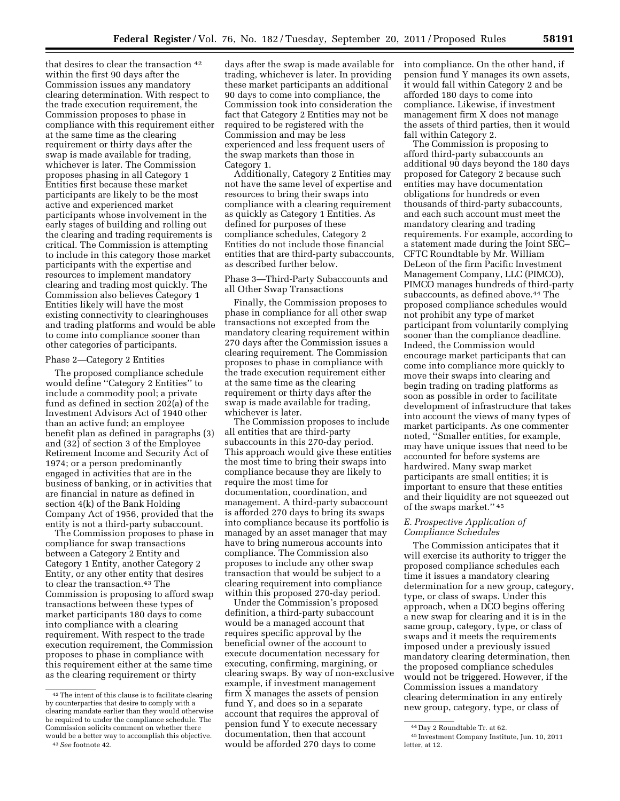that desires to clear the transaction  $42$ within the first 90 days after the Commission issues any mandatory clearing determination. With respect to the trade execution requirement, the Commission proposes to phase in compliance with this requirement either at the same time as the clearing requirement or thirty days after the swap is made available for trading, whichever is later. The Commission proposes phasing in all Category 1 Entities first because these market participants are likely to be the most active and experienced market participants whose involvement in the early stages of building and rolling out the clearing and trading requirements is critical. The Commission is attempting to include in this category those market participants with the expertise and resources to implement mandatory clearing and trading most quickly. The Commission also believes Category 1 Entities likely will have the most existing connectivity to clearinghouses and trading platforms and would be able to come into compliance sooner than other categories of participants.

## Phase 2—Category 2 Entities

The proposed compliance schedule would define ''Category 2 Entities'' to include a commodity pool; a private fund as defined in section 202(a) of the Investment Advisors Act of 1940 other than an active fund; an employee benefit plan as defined in paragraphs (3) and (32) of section 3 of the Employee Retirement Income and Security Act of 1974; or a person predominantly engaged in activities that are in the business of banking, or in activities that are financial in nature as defined in section 4(k) of the Bank Holding Company Act of 1956, provided that the entity is not a third-party subaccount.

The Commission proposes to phase in compliance for swap transactions between a Category 2 Entity and Category 1 Entity, another Category 2 Entity, or any other entity that desires to clear the transaction.43 The Commission is proposing to afford swap transactions between these types of market participants 180 days to come into compliance with a clearing requirement. With respect to the trade execution requirement, the Commission proposes to phase in compliance with this requirement either at the same time as the clearing requirement or thirty

43*See* footnote 42.

days after the swap is made available for trading, whichever is later. In providing these market participants an additional 90 days to come into compliance, the Commission took into consideration the fact that Category 2 Entities may not be required to be registered with the Commission and may be less experienced and less frequent users of the swap markets than those in Category 1.

Additionally, Category 2 Entities may not have the same level of expertise and resources to bring their swaps into compliance with a clearing requirement as quickly as Category 1 Entities. As defined for purposes of these compliance schedules, Category 2 Entities do not include those financial entities that are third-party subaccounts, as described further below.

# Phase 3—Third-Party Subaccounts and all Other Swap Transactions

Finally, the Commission proposes to phase in compliance for all other swap transactions not excepted from the mandatory clearing requirement within 270 days after the Commission issues a clearing requirement. The Commission proposes to phase in compliance with the trade execution requirement either at the same time as the clearing requirement or thirty days after the swap is made available for trading, whichever is later.

The Commission proposes to include all entities that are third-party subaccounts in this 270-day period. This approach would give these entities the most time to bring their swaps into compliance because they are likely to require the most time for documentation, coordination, and management. A third-party subaccount is afforded 270 days to bring its swaps into compliance because its portfolio is managed by an asset manager that may have to bring numerous accounts into compliance. The Commission also proposes to include any other swap transaction that would be subject to a clearing requirement into compliance within this proposed 270-day period.

Under the Commission's proposed definition, a third-party subaccount would be a managed account that requires specific approval by the beneficial owner of the account to execute documentation necessary for executing, confirming, margining, or clearing swaps. By way of non-exclusive example, if investment management firm X manages the assets of pension fund Y, and does so in a separate account that requires the approval of pension fund Y to execute necessary documentation, then that account would be afforded 270 days to come

into compliance. On the other hand, if pension fund Y manages its own assets, it would fall within Category 2 and be afforded 180 days to come into compliance. Likewise, if investment management firm X does not manage the assets of third parties, then it would fall within Category 2.

The Commission is proposing to afford third-party subaccounts an additional 90 days beyond the 180 days proposed for Category 2 because such entities may have documentation obligations for hundreds or even thousands of third-party subaccounts, and each such account must meet the mandatory clearing and trading requirements. For example, according to a statement made during the Joint SEC– CFTC Roundtable by Mr. William DeLeon of the firm Pacific Investment Management Company, LLC (PIMCO), PIMCO manages hundreds of third-party subaccounts, as defined above.44 The proposed compliance schedules would not prohibit any type of market participant from voluntarily complying sooner than the compliance deadline. Indeed, the Commission would encourage market participants that can come into compliance more quickly to move their swaps into clearing and begin trading on trading platforms as soon as possible in order to facilitate development of infrastructure that takes into account the views of many types of market participants. As one commenter noted, ''Smaller entities, for example, may have unique issues that need to be accounted for before systems are hardwired. Many swap market participants are small entities; it is important to ensure that these entities and their liquidity are not squeezed out of the swaps market.'' 45

# *E. Prospective Application of Compliance Schedules*

The Commission anticipates that it will exercise its authority to trigger the proposed compliance schedules each time it issues a mandatory clearing determination for a new group, category, type, or class of swaps. Under this approach, when a DCO begins offering a new swap for clearing and it is in the same group, category, type, or class of swaps and it meets the requirements imposed under a previously issued mandatory clearing determination, then the proposed compliance schedules would not be triggered. However, if the Commission issues a mandatory clearing determination in any entirely new group, category, type, or class of

<sup>42</sup>The intent of this clause is to facilitate clearing by counterparties that desire to comply with a clearing mandate earlier than they would otherwise be required to under the compliance schedule. The Commission solicits comment on whether there would be a better way to accomplish this objective.

<sup>44</sup> Day 2 Roundtable Tr. at 62.

<sup>45</sup> Investment Company Institute, Jun. 10, 2011 letter, at 12.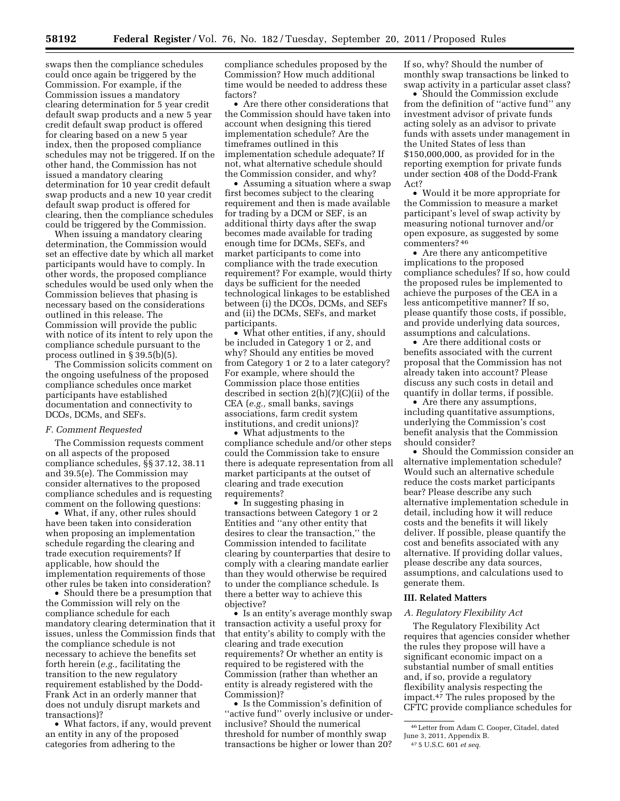swaps then the compliance schedules could once again be triggered by the Commission. For example, if the Commission issues a mandatory clearing determination for 5 year credit default swap products and a new 5 year credit default swap product is offered for clearing based on a new 5 year index, then the proposed compliance schedules may not be triggered. If on the other hand, the Commission has not issued a mandatory clearing determination for 10 year credit default swap products and a new 10 year credit default swap product is offered for clearing, then the compliance schedules could be triggered by the Commission.

When issuing a mandatory clearing determination, the Commission would set an effective date by which all market participants would have to comply. In other words, the proposed compliance schedules would be used only when the Commission believes that phasing is necessary based on the considerations outlined in this release. The Commission will provide the public with notice of its intent to rely upon the compliance schedule pursuant to the process outlined in  $\S$  39.5(b)(5).

The Commission solicits comment on the ongoing usefulness of the proposed compliance schedules once market participants have established documentation and connectivity to DCOs, DCMs, and SEFs.

## *F. Comment Requested*

The Commission requests comment on all aspects of the proposed compliance schedules, §§ 37.12, 38.11 and 39.5(e). The Commission may consider alternatives to the proposed compliance schedules and is requesting comment on the following questions:

• What, if any, other rules should have been taken into consideration when proposing an implementation schedule regarding the clearing and trade execution requirements? If applicable, how should the implementation requirements of those other rules be taken into consideration?

• Should there be a presumption that the Commission will rely on the compliance schedule for each mandatory clearing determination that it issues, unless the Commission finds that the compliance schedule is not necessary to achieve the benefits set forth herein (*e.g.,* facilitating the transition to the new regulatory requirement established by the Dodd-Frank Act in an orderly manner that does not unduly disrupt markets and transactions)?

• What factors, if any, would prevent an entity in any of the proposed categories from adhering to the

compliance schedules proposed by the Commission? How much additional time would be needed to address these factors?

• Are there other considerations that the Commission should have taken into account when designing this tiered implementation schedule? Are the timeframes outlined in this implementation schedule adequate? If not, what alternative schedule should the Commission consider, and why?

• Assuming a situation where a swap first becomes subject to the clearing requirement and then is made available for trading by a DCM or SEF, is an additional thirty days after the swap becomes made available for trading enough time for DCMs, SEFs, and market participants to come into compliance with the trade execution requirement? For example, would thirty days be sufficient for the needed technological linkages to be established between (i) the DCOs, DCMs, and SEFs and (ii) the DCMs, SEFs, and market participants.

• What other entities, if any, should be included in Category 1 or 2, and why? Should any entities be moved from Category 1 or 2 to a later category? For example, where should the Commission place those entities described in section 2(h)(7)(C)(ii) of the CEA (*e.g.,* small banks, savings associations, farm credit system institutions, and credit unions)?

• What adjustments to the compliance schedule and/or other steps could the Commission take to ensure there is adequate representation from all market participants at the outset of clearing and trade execution requirements?

• In suggesting phasing in transactions between Category 1 or 2 Entities and ''any other entity that desires to clear the transaction,'' the Commission intended to facilitate clearing by counterparties that desire to comply with a clearing mandate earlier than they would otherwise be required to under the compliance schedule. Is there a better way to achieve this objective?

• Is an entity's average monthly swap transaction activity a useful proxy for that entity's ability to comply with the clearing and trade execution requirements? Or whether an entity is required to be registered with the Commission (rather than whether an entity is already registered with the Commission)?

• Is the Commission's definition of "active fund" overly inclusive or underinclusive? Should the numerical threshold for number of monthly swap transactions be higher or lower than 20?

If so, why? Should the number of monthly swap transactions be linked to swap activity in a particular asset class?

• Should the Commission exclude from the definition of ''active fund'' any investment advisor of private funds acting solely as an advisor to private funds with assets under management in the United States of less than \$150,000,000, as provided for in the reporting exemption for private funds under section 408 of the Dodd-Frank Act?

• Would it be more appropriate for the Commission to measure a market participant's level of swap activity by measuring notional turnover and/or open exposure, as suggested by some commenters? 46

• Are there any anticompetitive implications to the proposed compliance schedules? If so, how could the proposed rules be implemented to achieve the purposes of the CEA in a less anticompetitive manner? If so, please quantify those costs, if possible, and provide underlying data sources, assumptions and calculations.

• Are there additional costs or benefits associated with the current proposal that the Commission has not already taken into account? Please discuss any such costs in detail and quantify in dollar terms, if possible.

• Are there any assumptions, including quantitative assumptions, underlying the Commission's cost benefit analysis that the Commission should consider?

• Should the Commission consider an alternative implementation schedule? Would such an alternative schedule reduce the costs market participants bear? Please describe any such alternative implementation schedule in detail, including how it will reduce costs and the benefits it will likely deliver. If possible, please quantify the cost and benefits associated with any alternative. If providing dollar values, please describe any data sources, assumptions, and calculations used to generate them.

# **III. Related Matters**

#### *A. Regulatory Flexibility Act*

The Regulatory Flexibility Act requires that agencies consider whether the rules they propose will have a significant economic impact on a substantial number of small entities and, if so, provide a regulatory flexibility analysis respecting the impact.47 The rules proposed by the CFTC provide compliance schedules for

<sup>46</sup>Letter from Adam C. Cooper, Citadel, dated June 3, 2011, Appendix B.

<sup>47</sup> 5 U.S.C. 601 *et seq.*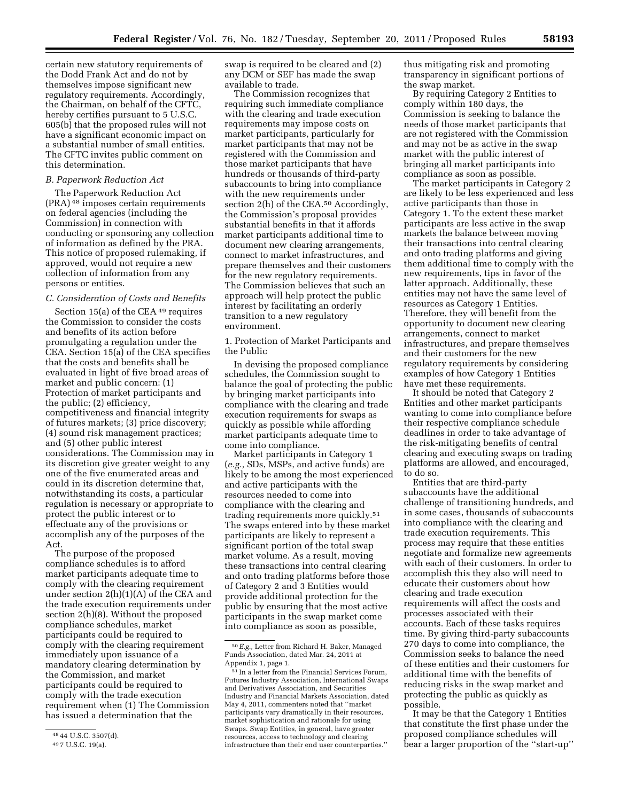certain new statutory requirements of the Dodd Frank Act and do not by themselves impose significant new regulatory requirements. Accordingly, the Chairman, on behalf of the CFTC, hereby certifies pursuant to 5 U.S.C. 605(b) that the proposed rules will not have a significant economic impact on a substantial number of small entities. The CFTC invites public comment on this determination.

#### *B. Paperwork Reduction Act*

The Paperwork Reduction Act (PRA) 48 imposes certain requirements on federal agencies (including the Commission) in connection with conducting or sponsoring any collection of information as defined by the PRA. This notice of proposed rulemaking, if approved, would not require a new collection of information from any persons or entities.

## *C. Consideration of Costs and Benefits*

Section 15(a) of the CEA<sup>49</sup> requires the Commission to consider the costs and benefits of its action before promulgating a regulation under the CEA. Section 15(a) of the CEA specifies that the costs and benefits shall be evaluated in light of five broad areas of market and public concern: (1) Protection of market participants and the public; (2) efficiency, competitiveness and financial integrity of futures markets; (3) price discovery; (4) sound risk management practices; and (5) other public interest considerations. The Commission may in its discretion give greater weight to any one of the five enumerated areas and could in its discretion determine that, notwithstanding its costs, a particular regulation is necessary or appropriate to protect the public interest or to effectuate any of the provisions or accomplish any of the purposes of the Act.

The purpose of the proposed compliance schedules is to afford market participants adequate time to comply with the clearing requirement under section 2(h)(1)(A) of the CEA and the trade execution requirements under section 2(h)(8). Without the proposed compliance schedules, market participants could be required to comply with the clearing requirement immediately upon issuance of a mandatory clearing determination by the Commission, and market participants could be required to comply with the trade execution requirement when (1) The Commission has issued a determination that the

swap is required to be cleared and (2) any DCM or SEF has made the swap available to trade.

The Commission recognizes that requiring such immediate compliance with the clearing and trade execution requirements may impose costs on market participants, particularly for market participants that may not be registered with the Commission and those market participants that have hundreds or thousands of third-party subaccounts to bring into compliance with the new requirements under section 2(h) of the CEA.50 Accordingly, the Commission's proposal provides substantial benefits in that it affords market participants additional time to document new clearing arrangements, connect to market infrastructures, and prepare themselves and their customers for the new regulatory requirements. The Commission believes that such an approach will help protect the public interest by facilitating an orderly transition to a new regulatory environment.

1. Protection of Market Participants and the Public

In devising the proposed compliance schedules, the Commission sought to balance the goal of protecting the public by bringing market participants into compliance with the clearing and trade execution requirements for swaps as quickly as possible while affording market participants adequate time to come into compliance.

Market participants in Category 1 (*e.g.,* SDs, MSPs, and active funds) are likely to be among the most experienced and active participants with the resources needed to come into compliance with the clearing and trading requirements more quickly.51 The swaps entered into by these market participants are likely to represent a significant portion of the total swap market volume. As a result, moving these transactions into central clearing and onto trading platforms before those of Category 2 and 3 Entities would provide additional protection for the public by ensuring that the most active participants in the swap market come into compliance as soon as possible,

thus mitigating risk and promoting transparency in significant portions of the swap market.

By requiring Category 2 Entities to comply within 180 days, the Commission is seeking to balance the needs of those market participants that are not registered with the Commission and may not be as active in the swap market with the public interest of bringing all market participants into compliance as soon as possible.

The market participants in Category 2 are likely to be less experienced and less active participants than those in Category 1. To the extent these market participants are less active in the swap markets the balance between moving their transactions into central clearing and onto trading platforms and giving them additional time to comply with the new requirements, tips in favor of the latter approach. Additionally, these entities may not have the same level of resources as Category 1 Entities. Therefore, they will benefit from the opportunity to document new clearing arrangements, connect to market infrastructures, and prepare themselves and their customers for the new regulatory requirements by considering examples of how Category 1 Entities have met these requirements.

It should be noted that Category 2 Entities and other market participants wanting to come into compliance before their respective compliance schedule deadlines in order to take advantage of the risk-mitigating benefits of central clearing and executing swaps on trading platforms are allowed, and encouraged, to do so.

Entities that are third-party subaccounts have the additional challenge of transitioning hundreds, and in some cases, thousands of subaccounts into compliance with the clearing and trade execution requirements. This process may require that these entities negotiate and formalize new agreements with each of their customers. In order to accomplish this they also will need to educate their customers about how clearing and trade execution requirements will affect the costs and processes associated with their accounts. Each of these tasks requires time. By giving third-party subaccounts 270 days to come into compliance, the Commission seeks to balance the need of these entities and their customers for additional time with the benefits of reducing risks in the swap market and protecting the public as quickly as possible.

It may be that the Category 1 Entities that constitute the first phase under the proposed compliance schedules will bear a larger proportion of the ''start-up''

<sup>48</sup> 44 U.S.C. 3507(d).

<sup>49</sup> 7 U.S.C. 19(a).

<sup>50</sup>*E.g.,* Letter from Richard H. Baker, Managed Funds Association, dated Mar. 24, 2011 at Appendix 1, page 1.

<sup>51</sup> In a letter from the Financial Services Forum, Futures Industry Association, International Swaps and Derivatives Association, and Securities Industry and Financial Markets Association, dated May 4, 2011, commenters noted that ''market participants vary dramatically in their resources, market sophistication and rationale for using Swaps. Swap Entities, in general, have greater resources, access to technology and clearing infrastructure than their end user counterparties.''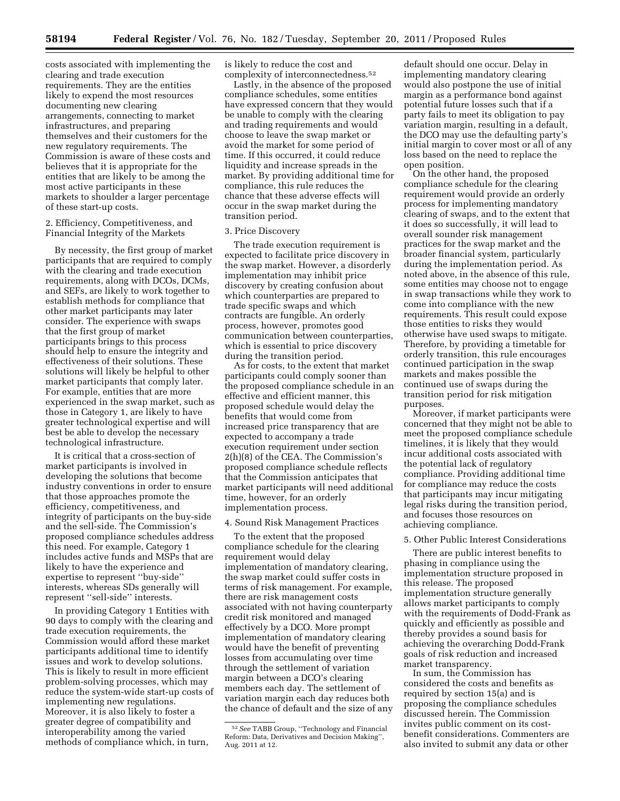costs associated with implementing the clearing and trade execution requirements. They are the entities likely to expend the most resources documenting new clearing arrangements, connecting to market infrastructures, and preparing themselves and their customers for the new regulatory requirements. The Commission is aware of these costs and believes that it is appropriate for the entities that are likely to be among the most active participants in these markets to shoulder a larger percentage of these start-up costs.

2. Efficiency, Competitiveness, and Financial Integrity of the Markets

By necessity, the first group of market participants that are required to comply with the clearing and trade execution requirements, along with DCOs, DCMs, and SEFs, are likely to work together to establish methods for compliance that other market participants may later consider. The experience with swaps that the first group of market participants brings to this process should help to ensure the integrity and effectiveness of their solutions. These solutions will likely be helpful to other market participants that comply later. For example, entities that are more experienced in the swap market, such as those in Category 1, are likely to have greater technological expertise and will best be able to develop the necessary technological infrastructure.

It is critical that a cross-section of market participants is involved in developing the solutions that become industry conventions in order to ensure that those approaches promote the efficiency, competitiveness, and integrity of participants on the buy-side and the sell-side. The Commission's proposed compliance schedules address this need. For example, Category 1 includes active funds and MSPs that are likely to have the experience and expertise to represent ''buy-side'' interests, whereas SDs generally will represent ''sell-side'' interests.

In providing Category 1 Entities with 90 days to comply with the clearing and trade execution requirements, the Commission would afford these market participants additional time to identify issues and work to develop solutions. This is likely to result in more efficient problem-solving processes, which may reduce the system-wide start-up costs of implementing new regulations. Moreover, it is also likely to foster a greater degree of compatibility and interoperability among the varied methods of compliance which, in turn,

is likely to reduce the cost and complexity of interconnectedness.52

Lastly, in the absence of the proposed compliance schedules, some entities have expressed concern that they would be unable to comply with the clearing and trading requirements and would choose to leave the swap market or avoid the market for some period of time. If this occurred, it could reduce liquidity and increase spreads in the market. By providing additional time for compliance, this rule reduces the chance that these adverse effects will occur in the swap market during the transition period.

## 3. Price Discovery

The trade execution requirement is expected to facilitate price discovery in the swap market. However, a disorderly implementation may inhibit price discovery by creating confusion about which counterparties are prepared to trade specific swaps and which contracts are fungible. An orderly process, however, promotes good communication between counterparties, which is essential to price discovery during the transition period.

As for costs, to the extent that market participants could comply sooner than the proposed compliance schedule in an effective and efficient manner, this proposed schedule would delay the benefits that would come from increased price transparency that are expected to accompany a trade execution requirement under section 2(h)(8) of the CEA. The Commission's proposed compliance schedule reflects that the Commission anticipates that market participants will need additional time, however, for an orderly implementation process.

## 4. Sound Risk Management Practices

To the extent that the proposed compliance schedule for the clearing requirement would delay implementation of mandatory clearing, the swap market could suffer costs in terms of risk management. For example, there are risk management costs associated with not having counterparty credit risk monitored and managed effectively by a DCO. More prompt implementation of mandatory clearing would have the benefit of preventing losses from accumulating over time through the settlement of variation margin between a DCO's clearing members each day. The settlement of variation margin each day reduces both the chance of default and the size of any

default should one occur. Delay in implementing mandatory clearing would also postpone the use of initial margin as a performance bond against potential future losses such that if a party fails to meet its obligation to pay variation margin, resulting in a default, the DCO may use the defaulting party's initial margin to cover most or all of any loss based on the need to replace the open position.

On the other hand, the proposed compliance schedule for the clearing requirement would provide an orderly process for implementing mandatory clearing of swaps, and to the extent that it does so successfully, it will lead to overall sounder risk management practices for the swap market and the broader financial system, particularly during the implementation period. As noted above, in the absence of this rule, some entities may choose not to engage in swap transactions while they work to come into compliance with the new requirements. This result could expose those entities to risks they would otherwise have used swaps to mitigate. Therefore, by providing a timetable for orderly transition, this rule encourages continued participation in the swap markets and makes possible the continued use of swaps during the transition period for risk mitigation purposes.

Moreover, if market participants were concerned that they might not be able to meet the proposed compliance schedule timelines, it is likely that they would incur additional costs associated with the potential lack of regulatory compliance. Providing additional time for compliance may reduce the costs that participants may incur mitigating legal risks during the transition period, and focuses those resources on achieving compliance.

#### 5. Other Public Interest Considerations

There are public interest benefits to phasing in compliance using the implementation structure proposed in this release. The proposed implementation structure generally allows market participants to comply with the requirements of Dodd-Frank as quickly and efficiently as possible and thereby provides a sound basis for achieving the overarching Dodd-Frank goals of risk reduction and increased market transparency.

In sum, the Commission has considered the costs and benefits as required by section 15(a) and is proposing the compliance schedules discussed herein. The Commission invites public comment on its costbenefit considerations. Commenters are also invited to submit any data or other

<sup>52</sup>*See* TABB Group, ''Technology and Financial Reform: Data, Derivatives and Decision Making'', Aug. 2011 at 12.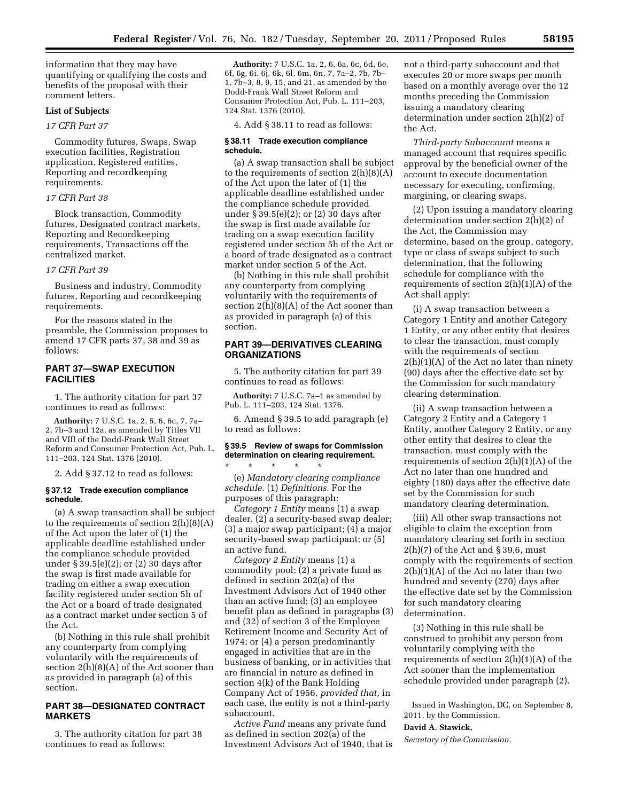information that they may have quantifying or qualifying the costs and benefits of the proposal with their comment letters.

## **List of Subjects**

# *17 CFR Part 37*

Commodity futures, Swaps, Swap execution facilities, Registration application, Registered entities, Reporting and recordkeeping requirements.

## *17 CFR Part 38*

Block transaction, Commodity futures, Designated contract markets, Reporting and Recordkeeping requirements, Transactions off the centralized market.

## *17 CFR Part 39*

Business and industry, Commodity futures, Reporting and recordkeeping requirements.

For the reasons stated in the preamble, the Commission proposes to amend 17 CFR parts 37, 38 and 39 as follows:

# **PART 37—SWAP EXECUTION FACILITIES**

1. The authority citation for part 37 continues to read as follows:

**Authority:** 7 U.S.C. 1a, 2, 5, 6, 6c, 7, 7a– 2, 7b–3 and 12a, as amended by Titles VII and VIII of the Dodd-Frank Wall Street Reform and Consumer Protection Act, Pub. L. 111–203, 124 Stat. 1376 (2010).

2. Add § 37.12 to read as follows:

#### **§ 37.12 Trade execution compliance schedule.**

(a) A swap transaction shall be subject to the requirements of section  $2(h)(8)(A)$ of the Act upon the later of (1) the applicable deadline established under the compliance schedule provided under § 39.5(e)(2); or (2) 30 days after the swap is first made available for trading on either a swap execution facility registered under section 5h of the Act or a board of trade designated as a contract market under section 5 of the Act.

(b) Nothing in this rule shall prohibit any counterparty from complying voluntarily with the requirements of section  $2(h)(8)(A)$  of the Act sooner than as provided in paragraph (a) of this section.

# **PART 38—DESIGNATED CONTRACT MARKETS**

3. The authority citation for part 38 continues to read as follows:

**Authority:** 7 U.S.C. 1a, 2, 6, 6a, 6c, 6d, 6e, 6f, 6g, 6i, 6j, 6k, 6l, 6m, 6n, 7, 7a–2, 7b, 7b– 1, 7b–3, 8, 9, 15, and 21, as amended by the Dodd-Frank Wall Street Reform and Consumer Protection Act, Pub. L. 111–203, 124 Stat. 1376 (2010).

4. Add § 38.11 to read as follows:

#### **§ 38.11 Trade execution compliance schedule.**

(a) A swap transaction shall be subject to the requirements of section  $2(h)(8)(A)$ of the Act upon the later of (1) the applicable deadline established under the compliance schedule provided under § 39.5(e)(2); or (2) 30 days after the swap is first made available for trading on a swap execution facility registered under section 5h of the Act or a board of trade designated as a contract market under section 5 of the Act.

(b) Nothing in this rule shall prohibit any counterparty from complying voluntarily with the requirements of section 2(h)(8)(A) of the Act sooner than as provided in paragraph (a) of this section.

# **PART 39—DERIVATIVES CLEARING ORGANIZATIONS**

5. The authority citation for part 39 continues to read as follows:

**Authority:** 7 U.S.C. 7a–1 as amended by Pub. L. 111–203, 124 Stat. 1376.

6. Amend § 39.5 to add paragraph (e) to read as follows:

# **§ 39.5 Review of swaps for Commission determination on clearing requirement.**  \* \* \* \* \*

(e) *Mandatory clearing compliance schedule.* (1) *Definitions.* For the purposes of this paragraph:

*Category 1 Entity* means (1) a swap dealer, (2) a security-based swap dealer; (3) a major swap participant; (4) a major security-based swap participant; or (5) an active fund.

*Category 2 Entity* means (1) a commodity pool; (2) a private fund as defined in section 202(a) of the Investment Advisors Act of 1940 other than an active fund; (3) an employee benefit plan as defined in paragraphs (3) and (32) of section 3 of the Employee Retirement Income and Security Act of 1974; or (4) a person predominantly engaged in activities that are in the business of banking, or in activities that are financial in nature as defined in section 4(k) of the Bank Holding Company Act of 1956, *provided that,* in each case, the entity is not a third-party subaccount.

*Active Fund* means any private fund as defined in section 202(a) of the Investment Advisors Act of 1940, that is not a third-party subaccount and that executes 20 or more swaps per month based on a monthly average over the 12 months preceding the Commission issuing a mandatory clearing determination under section 2(h)(2) of the Act.

*Third-party Subaccount* means a managed account that requires specific approval by the beneficial owner of the account to execute documentation necessary for executing, confirming, margining, or clearing swaps.

(2) Upon issuing a mandatory clearing determination under section 2(h)(2) of the Act, the Commission may determine, based on the group, category, type or class of swaps subject to such determination, that the following schedule for compliance with the requirements of section  $2(h)(1)(A)$  of the Act shall apply:

(i) A swap transaction between a Category 1 Entity and another Category 1 Entity, or any other entity that desires to clear the transaction, must comply with the requirements of section  $2(h)(1)(A)$  of the Act no later than ninety (90) days after the effective date set by the Commission for such mandatory clearing determination.

(ii) A swap transaction between a Category 2 Entity and a Category 1 Entity, another Category 2 Entity, or any other entity that desires to clear the transaction, must comply with the requirements of section  $2(h)(1)(A)$  of the Act no later than one hundred and eighty (180) days after the effective date set by the Commission for such mandatory clearing determination.

(iii) All other swap transactions not eligible to claim the exception from mandatory clearing set forth in section  $2(h)(7)$  of the Act and § 39.6, must comply with the requirements of section  $2(h)(1)(A)$  of the Act no later than two hundred and seventy (270) days after the effective date set by the Commission for such mandatory clearing determination.

(3) Nothing in this rule shall be construed to prohibit any person from voluntarily complying with the requirements of section  $2(h)(1)(A)$  of the Act sooner than the implementation schedule provided under paragraph (2).

Issued in Washington, DC, on September 8, 2011, by the Commission.

# **David A. Stawick,**

*Secretary of the Commission.*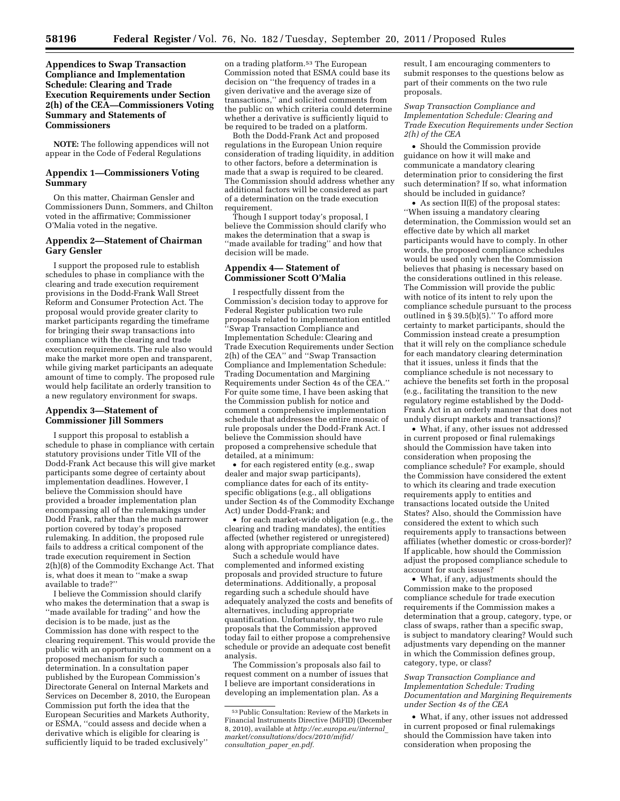**Appendices to Swap Transaction Compliance and Implementation Schedule: Clearing and Trade Execution Requirements under Section 2(h) of the CEA—Commissioners Voting Summary and Statements of Commissioners** 

**NOTE:** The following appendices will not appear in the Code of Federal Regulations

## **Appendix 1—Commissioners Voting Summary**

On this matter, Chairman Gensler and Commissioners Dunn, Sommers, and Chilton voted in the affirmative; Commissioner O'Malia voted in the negative.

# **Appendix 2—Statement of Chairman Gary Gensler**

I support the proposed rule to establish schedules to phase in compliance with the clearing and trade execution requirement provisions in the Dodd-Frank Wall Street Reform and Consumer Protection Act. The proposal would provide greater clarity to market participants regarding the timeframe for bringing their swap transactions into compliance with the clearing and trade execution requirements. The rule also would make the market more open and transparent, while giving market participants an adequate amount of time to comply. The proposed rule would help facilitate an orderly transition to a new regulatory environment for swaps.

## **Appendix 3—Statement of Commissioner Jill Sommers**

I support this proposal to establish a schedule to phase in compliance with certain statutory provisions under Title VII of the Dodd-Frank Act because this will give market participants some degree of certainty about implementation deadlines. However, I believe the Commission should have provided a broader implementation plan encompassing all of the rulemakings under Dodd Frank, rather than the much narrower portion covered by today's proposed rulemaking. In addition, the proposed rule fails to address a critical component of the trade execution requirement in Section 2(h)(8) of the Commodity Exchange Act. That is, what does it mean to ''make a swap available to trade?''

I believe the Commission should clarify who makes the determination that a swap is ''made available for trading'' and how the decision is to be made, just as the Commission has done with respect to the clearing requirement. This would provide the public with an opportunity to comment on a proposed mechanism for such a determination. In a consultation paper published by the European Commission's Directorate General on Internal Markets and Services on December 8, 2010, the European Commission put forth the idea that the European Securities and Markets Authority, or ESMA, ''could assess and decide when a derivative which is eligible for clearing is sufficiently liquid to be traded exclusively''

on a trading platform.53 The European Commission noted that ESMA could base its decision on ''the frequency of trades in a given derivative and the average size of transactions,'' and solicited comments from the public on which criteria could determine whether a derivative is sufficiently liquid to be required to be traded on a platform.

Both the Dodd-Frank Act and proposed regulations in the European Union require consideration of trading liquidity, in addition to other factors, before a determination is made that a swap is required to be cleared. The Commission should address whether any additional factors will be considered as part of a determination on the trade execution requirement.

Though I support today's proposal, I believe the Commission should clarify who makes the determination that a swap is ''made available for trading'' and how that decision will be made.

#### **Appendix 4— Statement of Commissioner Scott O'Malia**

I respectfully dissent from the Commission's decision today to approve for Federal Register publication two rule proposals related to implementation entitled ''Swap Transaction Compliance and Implementation Schedule: Clearing and Trade Execution Requirements under Section 2(h) of the CEA'' and ''Swap Transaction Compliance and Implementation Schedule: Trading Documentation and Margining Requirements under Section 4s of the CEA.'' For quite some time, I have been asking that the Commission publish for notice and comment a comprehensive implementation schedule that addresses the entire mosaic of rule proposals under the Dodd-Frank Act. I believe the Commission should have proposed a comprehensive schedule that detailed, at a minimum:

• for each registered entity (e.g., swap dealer and major swap participants), compliance dates for each of its entityspecific obligations (e.g., all obligations under Section 4s of the Commodity Exchange Act) under Dodd-Frank; and

• for each market-wide obligation (e.g., the clearing and trading mandates), the entities affected (whether registered or unregistered) along with appropriate compliance dates.

Such a schedule would have complemented and informed existing proposals and provided structure to future determinations. Additionally, a proposal regarding such a schedule should have adequately analyzed the costs and benefits of alternatives, including appropriate quantification. Unfortunately, the two rule proposals that the Commission approved today fail to either propose a comprehensive schedule or provide an adequate cost benefit analysis.

The Commission's proposals also fail to request comment on a number of issues that I believe are important considerations in developing an implementation plan. As a

result, I am encouraging commenters to submit responses to the questions below as part of their comments on the two rule proposals.

*Swap Transaction Compliance and Implementation Schedule: Clearing and Trade Execution Requirements under Section 2(h) of the CEA* 

• Should the Commission provide guidance on how it will make and communicate a mandatory clearing determination prior to considering the first such determination? If so, what information should be included in guidance?

• As section II(E) of the proposal states: ''When issuing a mandatory clearing determination, the Commission would set an effective date by which all market participants would have to comply. In other words, the proposed compliance schedules would be used only when the Commission believes that phasing is necessary based on the considerations outlined in this release. The Commission will provide the public with notice of its intent to rely upon the compliance schedule pursuant to the process outlined in § 39.5(b)(5).'' To afford more certainty to market participants, should the Commission instead create a presumption that it will rely on the compliance schedule for each mandatory clearing determination that it issues, unless it finds that the compliance schedule is not necessary to achieve the benefits set forth in the proposal (e.g., facilitating the transition to the new regulatory regime established by the Dodd-Frank Act in an orderly manner that does not unduly disrupt markets and transactions)?

• What, if any, other issues not addressed in current proposed or final rulemakings should the Commission have taken into consideration when proposing the compliance schedule? For example, should the Commission have considered the extent to which its clearing and trade execution requirements apply to entities and transactions located outside the United States? Also, should the Commission have considered the extent to which such requirements apply to transactions between affiliates (whether domestic or cross-border)? If applicable, how should the Commission adjust the proposed compliance schedule to account for such issues?

• What, if any, adjustments should the Commission make to the proposed compliance schedule for trade execution requirements if the Commission makes a determination that a group, category, type, or class of swaps, rather than a specific swap, is subject to mandatory clearing? Would such adjustments vary depending on the manner in which the Commission defines group, category, type, or class?

### *Swap Transaction Compliance and Implementation Schedule: Trading Documentation and Margining Requirements under Section 4s of the CEA*

• What, if any, other issues not addressed in current proposed or final rulemakings should the Commission have taken into consideration when proposing the

<sup>53</sup>Public Consultation: Review of the Markets in Financial Instruments Directive (MiFID) (December 8, 2010), available at *[http://ec.europa.eu/internal](http://ec.europa.eu/internal_market/consultations/docs/2010/mifid/consultation_paper_en.pdf)*\_ *[market/consultations/docs/2010/mifid/](http://ec.europa.eu/internal_market/consultations/docs/2010/mifid/consultation_paper_en.pdf) [consultation](http://ec.europa.eu/internal_market/consultations/docs/2010/mifid/consultation_paper_en.pdf)*\_*paper*\_*en.pdf.*